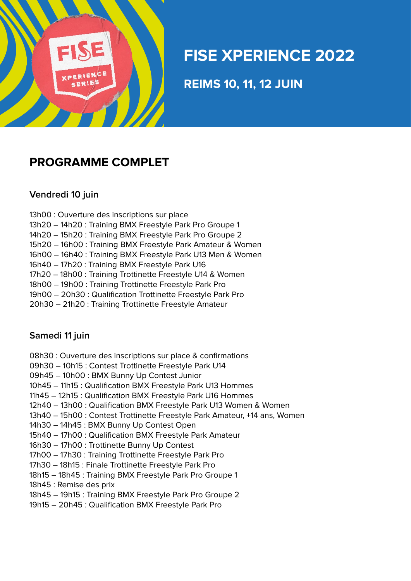

# **FISE XPERIENCE 2022**

**NEWS 40 44 49 111 REIMS 10, 11, 12 JUIN** 

### **PROGRAMME COMPLET**

#### **Vendredi 10 juin**

- 13h00 : Ouverture des inscriptions sur place
- 13h20 14h20 : Training BMX Freestyle Park Pro Groupe 1
- 14h20 15h20 : Training BMX Freestyle Park Pro Groupe 2
- 15h20 16h00 : Training BMX Freestyle Park Amateur & Women
- 16h00 16h40 : Training BMX Freestyle Park U13 Men & Women
- 16h40 17h20 : Training BMX Freestyle Park U16
- 17h20 18h00 : Training Trottinette Freestyle U14 & Women
- 18h00 19h00 : Training Trottinette Freestyle Park Pro
- 19h00 20h30 : Qualification Trottinette Freestyle Park Pro
- 20h30 21h20 : Training Trottinette Freestyle Amateur

#### **Samedi 11 juin**

- 08h30 : Ouverture des inscriptions sur place & confirmations
- 09h30 10h15 : Contest Trottinette Freestyle Park U14
- 09h45 10h00 : BMX Bunny Up Contest Junior
- 10h45 11h15 : Qualification BMX Freestyle Park U13 Hommes
- 11h45 12h15 : Qualification BMX Freestyle Park U16 Hommes
- 12h40 13h00 : Qualification BMX Freestyle Park U13 Women & Women
- 13h40 15h00 : Contest Trottinette Freestyle Park Amateur, +14 ans, Women
- 14h30 14h45 : BMX Bunny Up Contest Open
- 15h40 17h00 : Qualification BMX Freestyle Park Amateur
- 16h30 17h00 : Trottinette Bunny Up Contest
- 17h00 17h30 : Training Trottinette Freestyle Park Pro
- 17h30 18h15 : Finale Trottinette Freestyle Park Pro
- 18h15 18h45 : Training BMX Freestyle Park Pro Groupe 1
- 18h45 : Remise des prix
- 18h45 19h15 : Training BMX Freestyle Park Pro Groupe 2
- 19h15 20h45 : Qualification BMX Freestyle Park Pro